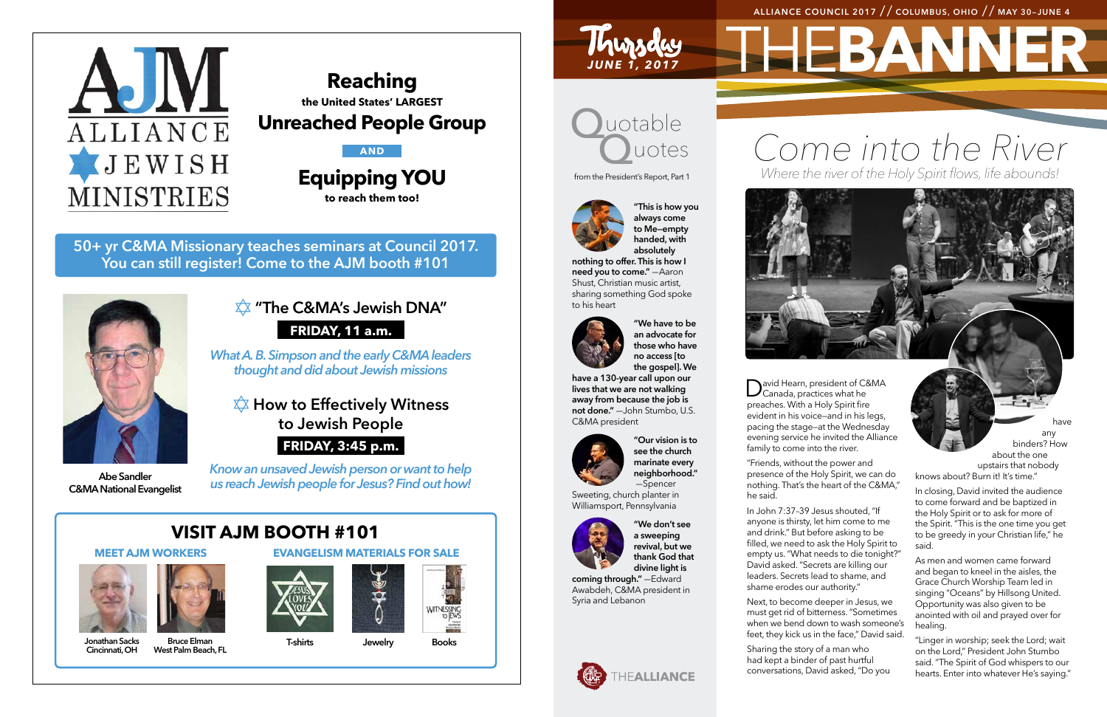# THE**BANNER ALLIANCE COUNCIL 2017** // **COLUMBUS, OHIO** // **MAY 30–JUNE 4**

*JUNE 1, 2017*

Thursday





**50+ yr C&MA Missionary teaches seminars at Council 2017. You can still register! Come to the AJM booth #101**

## ✡ **"The C&MA's Jewish DNA" FRIDAY, 11 a.m.**

*What A. B. Simpson and the early C&MA leaders thought and did about Jewish missions*

✡ **How to Effectively Witness to Jewish People**

### **FRIDAY, 3:45 p.m.**

*Know an unsaved Jewish person or want to help us reach Jewish people for Jesus? Find out how!*

### **Reaching the United States' LARGEST**

**Unreached People Group**

### **AND**

**Equipping YOU to reach them too!**

# **VISIT AJM BOOTH #101**

### **MEET AJM WORKERS EVANGELISM MATERIALS FOR SALE**





**Abe Sandler C&MA National Evangelist**



**Jonathan Sacks Cincinnati, OH**

luotable uotes from the President's Report, Part 1

**Bruce Elman West Palm Beach, FL**





**T-shirts Jewelry Books**









**"This is how you always come to Me—empty handed, with absolutely** 

> David Hearn, president of C&MA<br>Canada, practices what he evident in his voice—and in his legs, pacing the stage—at the Wednesday evening service he invited the Alliance

**nothing to offer. This is how I need you to come."** —Aaron Shust, Christian music artist, sharing something God spoke to his heart



**"We have to be an advocate for those who have no access [to the gospel]. We** 

**have a 130-year call upon our lives that we are not walking away from because the job is not done."** —John Stumbo, U.S. C&MA president



**"Our vision is to see the church marinate every neighborhood."**

—Spencer Sweeting, church planter in Williamsport, Pennsylvania



**"We don't see a sweeping revival, but we thank God that divine light is** 

**coming through."** —Edward Awabdeh, C&MA president in Syria and Lebanon





preaches. With a Holy Spirit fire family to come into the river.

"Friends, without the power and he said.

presence of the Holy Spirit, we can do nothing. That's the heart of the C&MA,"

In John 7:37–39 Jesus shouted, "If anyone is thirsty, let him come to me and drink." But before asking to be filled, we need to ask the Holy Spirit to empty us. "What needs to die tonight?" David asked. "Secrets are killing our leaders. Secrets lead to shame, and shame erodes our authority."

Next, to become deeper in Jesus, we must get rid of bitterness. "Sometimes when we bend down to wash someone's feet, they kick us in the face," David said.

Sharing the story of a man who had kept a binder of past hurtful conversations, David asked, "Do you

have any binders? How about the one upstairs that nobody knows about? Burn it! It's time."

In closing, David invited the audience to come forward and be baptized in the Holy Spirit or to ask for more of the Spirit. "This is the one time you get to be greedy in your Christian life," he said.

As men and women came forward and began to kneel in the aisles, the Grace Church Worship Team led in singing "Oceans" by Hillsong United. Opportunity was also given to be anointed with oil and prayed over for healing.

"Linger in worship; seek the Lord; wait on the Lord," President John Stumbo said. "The Spirit of God whispers to our hearts. Enter into whatever He's saying."

# *Come into the River Where the river of the Holy Spirit flows, life abounds!*